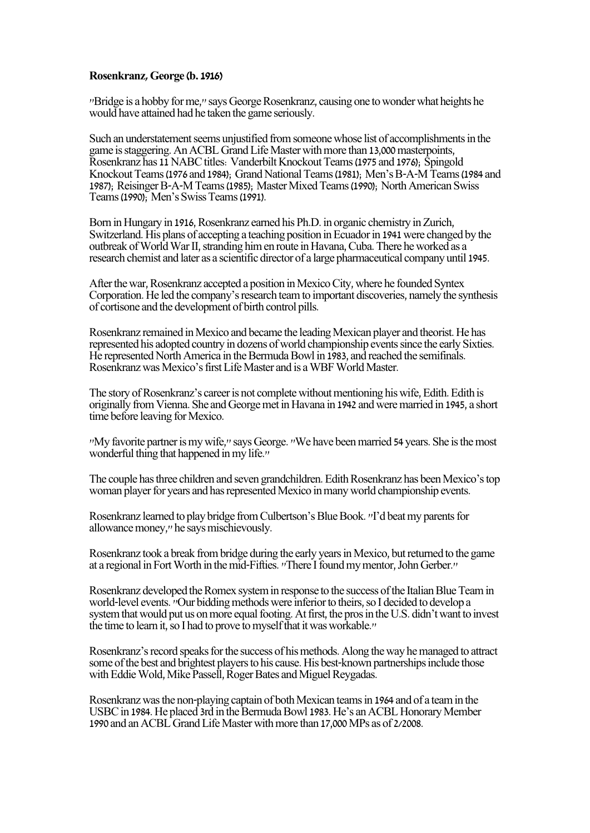## **Rosenkranz, George (b. 1916)**

"Bridge is a hobby for me," says George Rosenkranz, causing one to wonder what heights he would have attained had he taken the game seriously.

Such an understatement seems unjustified from someone whose list of accomplishments in the game is staggering. An ACBL Grand Life Master with more than 13,000 masterpoints, Rosenkranz has 11 NABC titles: Vanderbilt Knockout Teams (1975 and 1976); Spingold Knockout Teams (1976 and 1984); Grand National Teams (1981); Men's B-A-M Teams (1984 and 1987); Reisinger B-A-M Teams (1985); Master Mixed Teams (1990); North American Swiss Teams (1990); Men's Swiss Teams (1991).

Born in Hungary in 1916, Rosenkranz earned his Ph.D. in organic chemistry in Zurich, Switzerland. His plans of accepting a teaching position in Ecuador in 1941 were changed by the outbreak of World War II, stranding him en route in Havana, Cuba. There he worked as a research chemist and later as a scientific director of a large pharmaceutical company until 1945.

After the war, Rosenkranz accepted a position in Mexico City, where he founded Syntex Corporation. He led the company's research team to important discoveries, namely the synthesis of cortisone and the development of birth control pills.

Rosenkranz remained in Mexico and became the leading Mexican player and theorist. He has represented his adopted country in dozens of world championship events since the early Sixties. He represented North America in the Bermuda Bowl in 1983, and reached the semifinals. Rosenkranz was Mexico's first Life Master and is a WBF World Master.

The story of Rosenkranz's career is not complete without mentioning his wife, Edith. Edith is originally from Vienna. She and George met in Havana in 1942 and were married in 1945, a short time before leaving for Mexico.

"My favorite partner is my wife," says George. "We have been married 54 years. She is the most wonderful thing that happened in my life."

The couple has three children and seven grandchildren. Edith Rosenkranz has been Mexico's top woman player for years and has represented Mexico in many world championship events.

Rosenkranz learned to play bridge from Culbertson's Blue Book. "I'd beat my parents for allowance money," he says mischievously.

Rosenkranz took a break from bridge during the early years in Mexico, but returned to the game at a regional in Fort Worth in the mid-Fifties. "There I found my mentor, John Gerber."

Rosenkranz developed the Romex system in response to the success of the Italian Blue Team in world-level events. "Our bidding methods were inferior to theirs, so I decided to develop a system that would put us on more equal footing. At first, the pros in the U.S. didn't want to invest the time to learn it, so I had to prove to myself that it was workable."

Rosenkranz's record speaks for the success of his methods. Along the way he managed to attract some of the best and brightest players to his cause. His best-known partnerships include those with Eddie Wold, Mike Passell, Roger Bates and Miguel Reygadas.

Rosenkranz was the non-playing captain of both Mexican teams in 1964 and of a team in the USBC in 1984. He placed 3rd in the Bermuda Bowl 1983. He's an ACBL Honorary Member 1990 and an ACBL Grand Life Master with more than 17,000 MPs as of 2/2008.